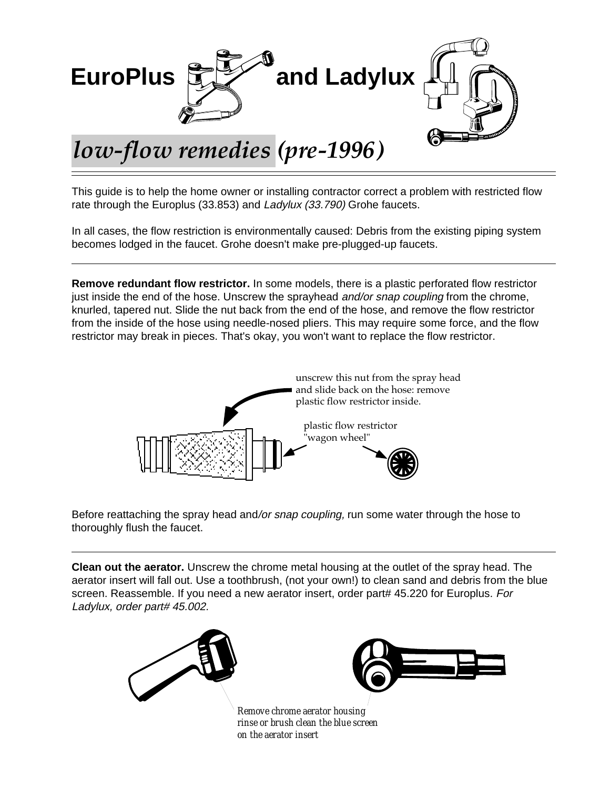

This guide is to help the home owner or installing contractor correct a problem with restricted flow rate through the Europlus (33.853) and Ladylux (33.790) Grohe faucets.

In all cases, the flow restriction is environmentally caused: Debris from the existing piping system becomes lodged in the faucet. Grohe doesn't make pre-plugged-up faucets.

**Remove redundant flow restrictor.** In some models, there is a plastic perforated flow restrictor just inside the end of the hose. Unscrew the sprayhead *and/or snap coupling* from the chrome, knurled, tapered nut. Slide the nut back from the end of the hose, and remove the flow restrictor from the inside of the hose using needle-nosed pliers. This may require some force, and the flow restrictor may break in pieces. That's okay, you won't want to replace the flow restrictor.



Before reattaching the spray head and/or snap coupling, run some water through the hose to thoroughly flush the faucet.

**Clean out the aerator.** Unscrew the chrome metal housing at the outlet of the spray head. The aerator insert will fall out. Use a toothbrush, (not your own!) to clean sand and debris from the blue screen. Reassemble. If you need a new aerator insert, order part# 45.220 for Europlus. For Ladylux, order part# 45.002.



*rinse or brush clean the blue screen on the aerator insert*